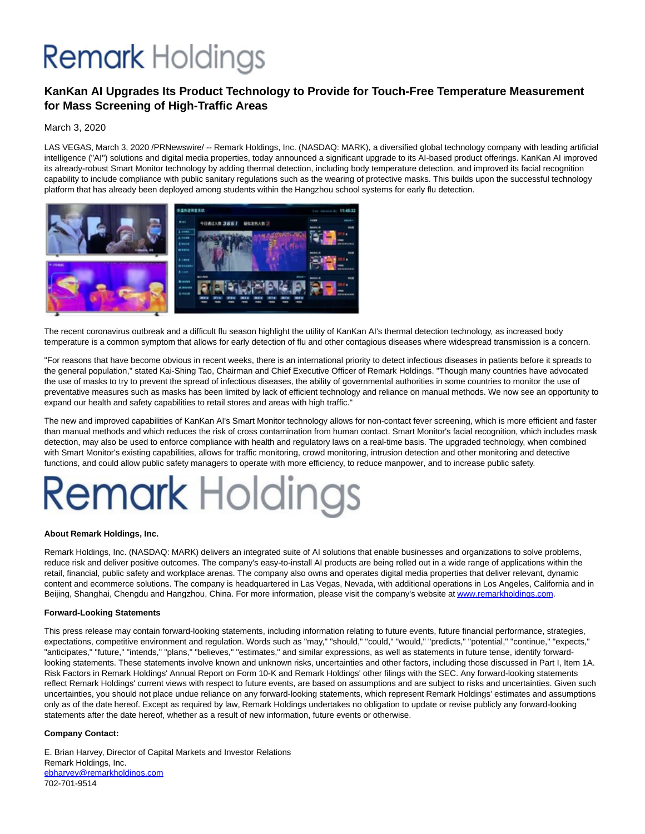## **Remark Holdings**

### **KanKan AI Upgrades Its Product Technology to Provide for Touch-Free Temperature Measurement for Mass Screening of High-Traffic Areas**

### March 3, 2020

LAS VEGAS, March 3, 2020 /PRNewswire/ -- Remark Holdings, Inc. (NASDAQ: MARK), a diversified global technology company with leading artificial intelligence ("AI") solutions and digital media properties, today announced a significant upgrade to its AI-based product offerings. KanKan AI improved its already-robust Smart Monitor technology by adding thermal detection, including body temperature detection, and improved its facial recognition capability to include compliance with public sanitary regulations such as the wearing of protective masks. This builds upon the successful technology platform that has already been deployed among students within the Hangzhou school systems for early flu detection.



The recent coronavirus outbreak and a difficult flu season highlight the utility of KanKan AI's thermal detection technology, as increased body temperature is a common symptom that allows for early detection of flu and other contagious diseases where widespread transmission is a concern.

"For reasons that have become obvious in recent weeks, there is an international priority to detect infectious diseases in patients before it spreads to the general population," stated Kai-Shing Tao, Chairman and Chief Executive Officer of Remark Holdings. "Though many countries have advocated the use of masks to try to prevent the spread of infectious diseases, the ability of governmental authorities in some countries to monitor the use of preventative measures such as masks has been limited by lack of efficient technology and reliance on manual methods. We now see an opportunity to expand our health and safety capabilities to retail stores and areas with high traffic."

The new and improved capabilities of KanKan AI's Smart Monitor technology allows for non-contact fever screening, which is more efficient and faster than manual methods and which reduces the risk of cross contamination from human contact. Smart Monitor's facial recognition, which includes mask detection, may also be used to enforce compliance with health and regulatory laws on a real-time basis. The upgraded technology, when combined with Smart Monitor's existing capabilities, allows for traffic monitoring, crowd monitoring, intrusion detection and other monitoring and detective functions, and could allow public safety managers to operate with more efficiency, to reduce manpower, and to increase public safety.

# **Remark Holdings**

### **About Remark Holdings, Inc.**

Remark Holdings, Inc. (NASDAQ: MARK) delivers an integrated suite of AI solutions that enable businesses and organizations to solve problems, reduce risk and deliver positive outcomes. The company's easy-to-install AI products are being rolled out in a wide range of applications within the retail, financial, public safety and workplace arenas. The company also owns and operates digital media properties that deliver relevant, dynamic content and ecommerce solutions. The company is headquartered in Las Vegas, Nevada, with additional operations in Los Angeles, California and in Beijing, Shanghai, Chengdu and Hangzhou, China. For more information, please visit the company's website a[t www.remarkholdings.com.](https://c212.net/c/link/?t=0&l=en&o=2736935-1&h=129731953&u=http%3A%2F%2Fwww.remarkholdings.com%2F&a=www.remarkholdings.com)

### **Forward-Looking Statements**

This press release may contain forward-looking statements, including information relating to future events, future financial performance, strategies, expectations, competitive environment and regulation. Words such as "may," "should," "could," "would," "predicts," "potential," "continue," "expects," "anticipates," "future," "intends," "plans," "believes," "estimates," and similar expressions, as well as statements in future tense, identify forwardlooking statements. These statements involve known and unknown risks, uncertainties and other factors, including those discussed in Part I, Item 1A. Risk Factors in Remark Holdings' Annual Report on Form 10-K and Remark Holdings' other filings with the SEC. Any forward-looking statements reflect Remark Holdings' current views with respect to future events, are based on assumptions and are subject to risks and uncertainties. Given such uncertainties, you should not place undue reliance on any forward-looking statements, which represent Remark Holdings' estimates and assumptions only as of the date hereof. Except as required by law, Remark Holdings undertakes no obligation to update or revise publicly any forward-looking statements after the date hereof, whether as a result of new information, future events or otherwise.

### **Company Contact:**

E. Brian Harvey, Director of Capital Markets and Investor Relations Remark Holdings, Inc. [ebharvey@remarkholdings.com](mailto:ebharvey@remarkholdings.com) 702-701-9514